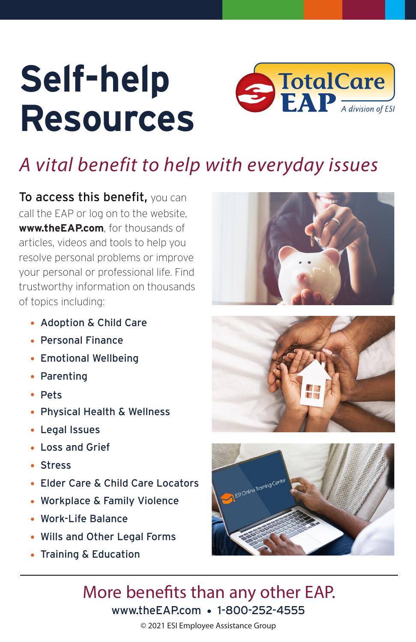# **Resources Self-help**



# *A vital benefit to help with everyday issues*

To access this benefit, you can call the EAP or log on to the website, **www.theEAP.com**, for thousands of articles, videos and tools to help you resolve personal problems or improve your personal or professional life. Find trustworthy information on thousands of topics including:

- Adoption & Child Care
- Personal Finance
- Emotional Wellbeing
- Parenting
- Pets
- Physical Health & Wellness
- Legal Issues
- Loss and Grief
- Stress
- Elder Care & Child Care Locators
- Workplace & Family Violence
- Work-Life Balance
- Wills and Other Legal Forms
- Training & Education







## www.theEAP.com • 1-800-252-4555 More benefits than any other EAP.

#### © 2021 ESI Employee Assistance Group